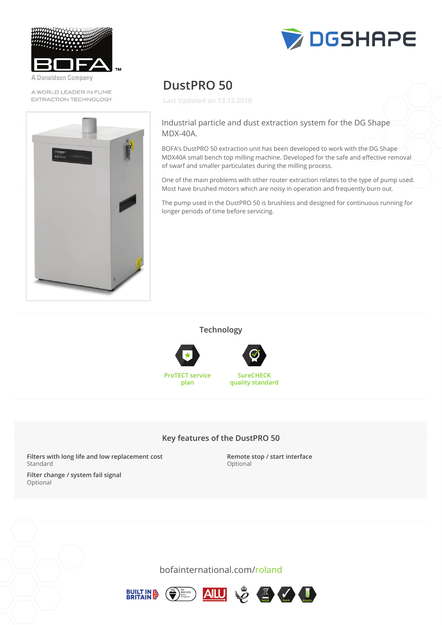

Donaldson Company

A WORLD LEADER IN FUME **EXTRACTION TECHNOLOGY** 





# **DustPRO 50**

**Last Updated on 13.12.2018**

#### Industrial particle and dust extraction system for the DG Shape MDX-40A.

BOFA's DustPRO 50 extraction unit has been developed to work with the DG Shape MDX40A small bench top milling machine. Developed for the safe and effective removal of swarf and smaller particulates during the milling process.

One of the main problems with other router extraction relates to the type of pump used. Most have brushed motors which are noisy in operation and frequently burn out. Me of the main problems with other router extraction relates to the type or pamp ased.

The pump used in the DustPRO 50 is brushless and designed for continuous running for<br>. longer periods of time before servicing.

**Technology**





**SureCHECK quality standard**

### **Key features of the DustPRO 50**

**Filters with long life and low replacement cost** Standard

**Remote stop / start interface Key features of the DustPRO 500 set of the DustPR** 

**Filter change / system fail signal Filters with long life and low replacement costs with long life and low replacement costs with low replacement costs with a statement costs with a statement costs with a statement costs with a statement costs with a state** 



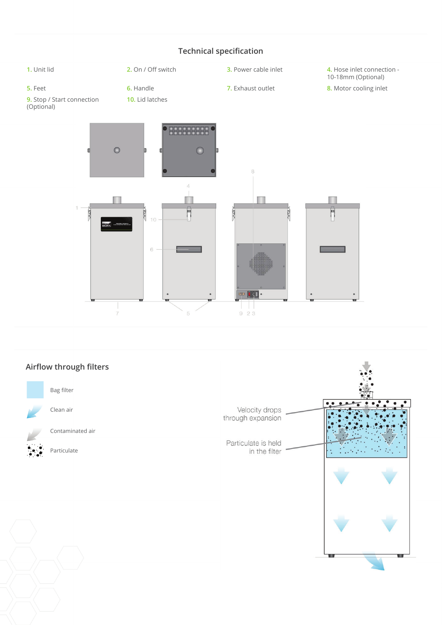## **Technical specification**



# **Airflow through filters** Bag filter  $\epsilon$ Clean air Velocity drops through expansion Contaminated air Particulate is held Particulate in the filter